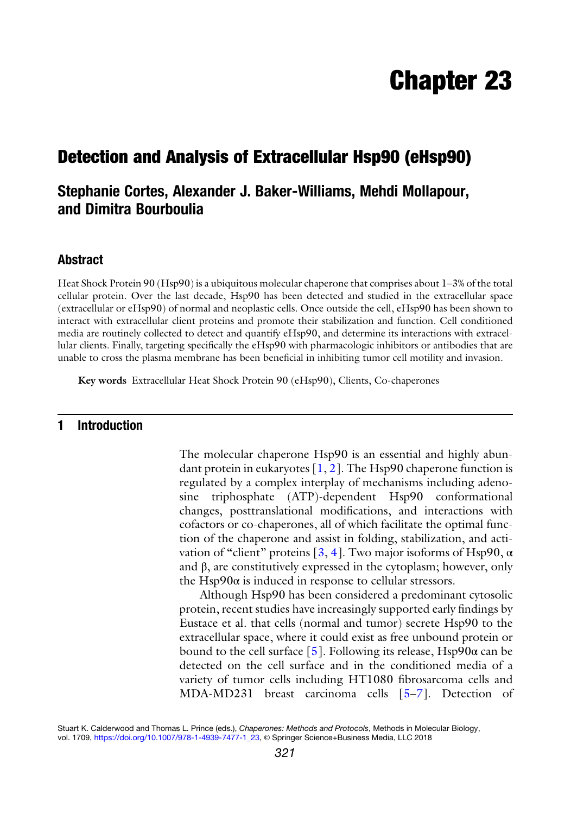# Chapter 23

# Detection and Analysis of Extracellular Hsp90 (eHsp90)

## Stephanie Cortes, Alexander J. Baker-Williams, Mehdi Mollapour, and Dimitra Bourboulia

## Abstract

Heat Shock Protein 90 (Hsp90) is a ubiquitous molecular chaperone that comprises about 1–3% of the total cellular protein. Over the last decade, Hsp90 has been detected and studied in the extracellular space (extracellular or eHsp90) of normal and neoplastic cells. Once outside the cell, eHsp90 has been shown to interact with extracellular client proteins and promote their stabilization and function. Cell conditioned media are routinely collected to detect and quantify eHsp90, and determine its interactions with extracellular clients. Finally, targeting specifically the eHsp90 with pharmacologic inhibitors or antibodies that are unable to cross the plasma membrane has been beneficial in inhibiting tumor cell motility and invasion.

Key words Extracellular Heat Shock Protein 90 (eHsp90), Clients, Co-chaperones

## 1 Introduction

The molecular chaperone Hsp90 is an essential and highly abundant protein in eukaryotes  $[1, 2]$  $[1, 2]$  $[1, 2]$  $[1, 2]$ . The Hsp90 chaperone function is regulated by a complex interplay of mechanisms including adenosine triphosphate (ATP)-dependent Hsp90 conformational changes, posttranslational modifications, and interactions with cofactors or co-chaperones, all of which facilitate the optimal function of the chaperone and assist in folding, stabilization, and acti-vation of "client" proteins [\[3](#page-7-0), [4](#page-7-0)]. Two major isoforms of Hsp90,  $\alpha$ and  $\beta$ , are constitutively expressed in the cytoplasm; however, only the  $Hsp90\alpha$  is induced in response to cellular stressors.

Although Hsp90 has been considered a predominant cytosolic protein, recent studies have increasingly supported early findings by Eustace et al. that cells (normal and tumor) secrete Hsp90 to the extracellular space, where it could exist as free unbound protein or bound to the cell surface [\[5](#page-7-0)]. Following its release, Hsp90α can be detected on the cell surface and in the conditioned media of a variety of tumor cells including HT1080 fibrosarcoma cells and MDA-MD231 breast carcinoma cells [\[5–7](#page-7-0)]. Detection of

Stuart K. Calderwood and Thomas L. Prince (eds.), Chaperones: Methods and Protocols, Methods in Molecular Biology, vol. 1709, [https://doi.org/10.1007/978-1-4939-7477-1\\_23,](https://doi.org/10.1007/978-1-4939-7477-1_23) © Springer Science+Business Media, LLC 2018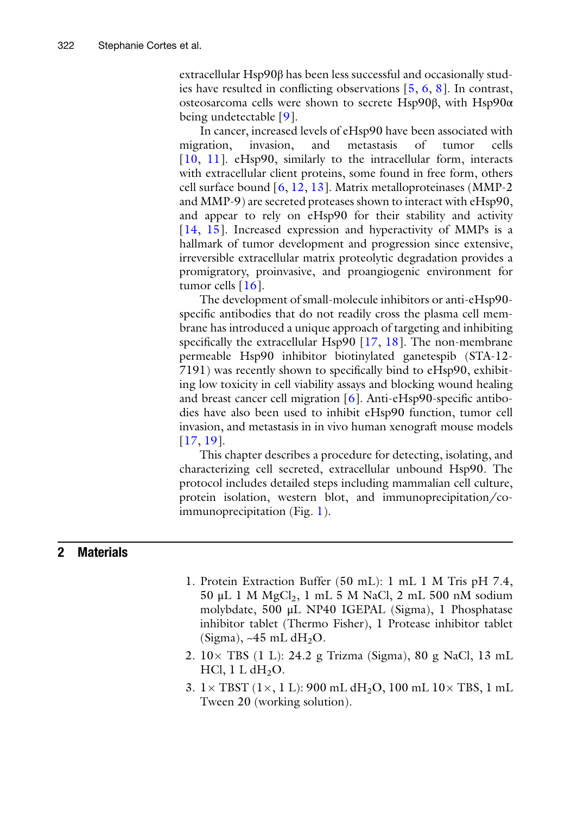extracellular Hsp90β has been less successful and occasionally studies have resulted in conflicting observations [\[5,](#page-7-0) [6](#page-7-0), [8](#page-7-0)]. In contrast, osteosarcoma cells were shown to secrete Hsp90β, with Hsp90α being undetectable [[9](#page-7-0)].

In cancer, increased levels of eHsp90 have been associated with migration, invasion, and metastasis of tumor cells [[10,](#page-7-0) [11\]](#page-7-0). eHsp90, similarly to the intracellular form, interacts with extracellular client proteins, some found in free form, others cell surface bound [[6,](#page-7-0) [12](#page-7-0), [13](#page-7-0)]. Matrix metalloproteinases (MMP-2 and MMP-9) are secreted proteases shown to interact with eHsp90, and appear to rely on eHsp90 for their stability and activity [[14,](#page-7-0) [15](#page-7-0)]. Increased expression and hyperactivity of MMPs is a hallmark of tumor development and progression since extensive, irreversible extracellular matrix proteolytic degradation provides a promigratory, proinvasive, and proangiogenic environment for tumor cells [\[16](#page-7-0)].

The development of small-molecule inhibitors or anti-eHsp90 specific antibodies that do not readily cross the plasma cell membrane has introduced a unique approach of targeting and inhibiting specifically the extracellular Hsp $90$  [\[17](#page-7-0), [18\]](#page-8-0). The non-membrane permeable Hsp90 inhibitor biotinylated ganetespib (STA-12- 7191) was recently shown to specifically bind to eHsp90, exhibiting low toxicity in cell viability assays and blocking wound healing and breast cancer cell migration [\[6\]](#page-7-0). Anti-eHsp90-specific antibodies have also been used to inhibit eHsp90 function, tumor cell invasion, and metastasis in in vivo human xenograft mouse models [[17,](#page-7-0) [19](#page-8-0)].

This chapter describes a procedure for detecting, isolating, and characterizing cell secreted, extracellular unbound Hsp90. The protocol includes detailed steps including mammalian cell culture, protein isolation, western blot, and immunoprecipitation/coimmunoprecipitation (Fig. [1\)](#page-2-0).

## 2 Materials

- 1. Protein Extraction Buffer (50 mL): 1 mL 1 M Tris pH 7.4,  $50 \mu L$  1 M MgCl<sub>2</sub>, 1 mL 5 M NaCl, 2 mL 500 nM sodium molybdate, 500 μL NP40 IGEPAL (Sigma), 1 Phosphatase inhibitor tablet (Thermo Fisher), 1 Protease inhibitor tablet  $(Sigma)$ , ~45 mL dH<sub>2</sub>O.
- 2.  $10 \times$  TBS (1 L): 24.2 g Trizma (Sigma), 80 g NaCl, 13 mL  $HCl, 1 L dH<sub>2</sub>O.$
- 3.  $1 \times TBST$  ( $1 \times$ , 1 L): 900 mL dH<sub>2</sub>O, 100 mL  $10 \times TBS$ , 1 mL Tween 20 (working solution).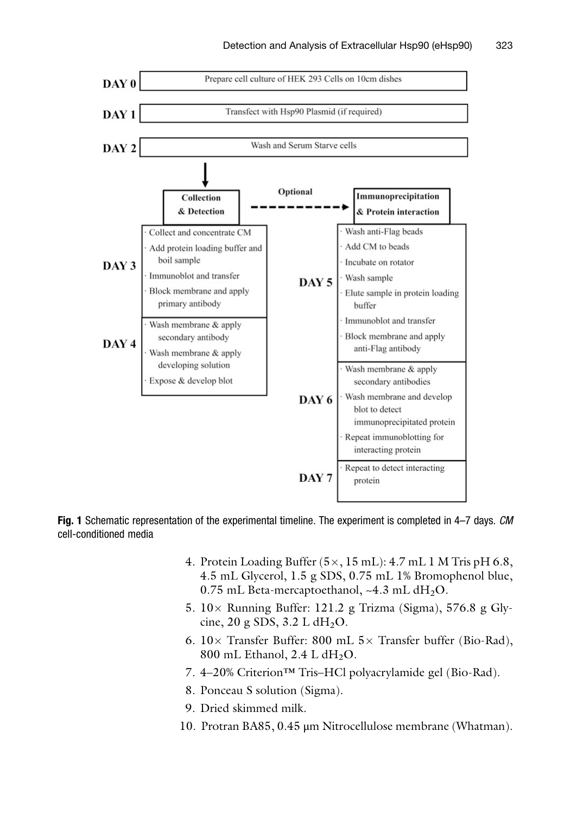<span id="page-2-0"></span>

Fig. 1 Schematic representation of the experimental timeline. The experiment is completed in 4–7 days. CM cell-conditioned media

- 4. Protein Loading Buffer  $(5 \times, 15 \text{ mL})$ : 4.7 mL 1 M Tris pH 6.8, 4.5 mL Glycerol, 1.5 g SDS, 0.75 mL 1% Bromophenol blue, 0.75 mL Beta-mercaptoethanol,  $~4.3$  mL dH<sub>2</sub>O.
- 5.  $10 \times$  Running Buffer: 121.2 g Trizma (Sigma), 576.8 g Glycine, 20 g SDS,  $3.2$  L dH<sub>2</sub>O.
- 6.  $10 \times$  Transfer Buffer: 800 mL  $5 \times$  Transfer buffer (Bio-Rad), 800 mL Ethanol,  $2.4$  L dH<sub>2</sub>O.
- 7. 4–20% Criterion™ Tris–HCl polyacrylamide gel (Bio-Rad).
- 8. Ponceau S solution (Sigma).
- 9. Dried skimmed milk.
- 10. Protran BA85, 0.45 μm Nitrocellulose membrane (Whatman).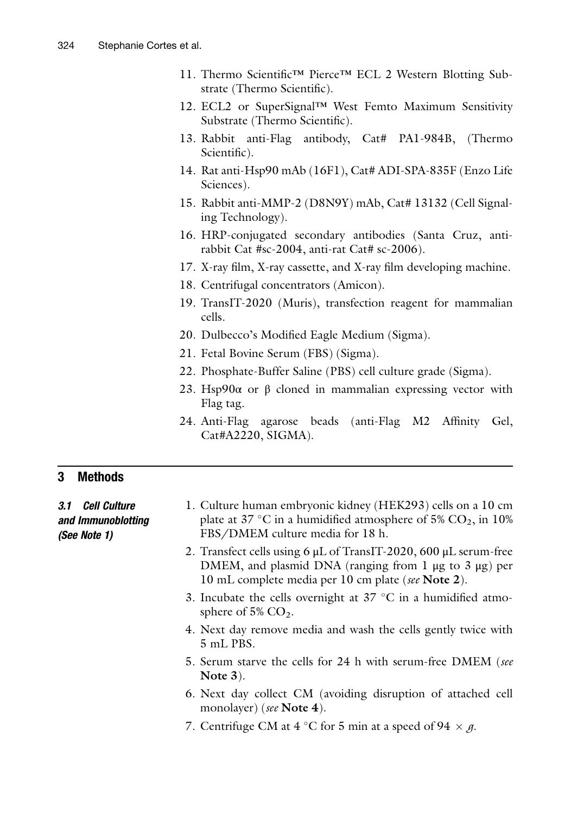- 11. Thermo Scientific™ Pierce™ ECL 2 Western Blotting Substrate (Thermo Scientific).
- 12. ECL2 or SuperSignal™ West Femto Maximum Sensitivity Substrate (Thermo Scientific).
- 13. Rabbit anti-Flag antibody, Cat# PA1-984B, (Thermo Scientific).
- 14. Rat anti-Hsp90 mAb (16F1), Cat# ADI-SPA-835F (Enzo Life Sciences).
- 15. Rabbit anti-MMP-2 (D8N9Y) mAb, Cat# 13132 (Cell Signaling Technology).
- 16. HRP-conjugated secondary antibodies (Santa Cruz, antirabbit Cat #sc-2004, anti-rat Cat# sc-2006).
- 17. X-ray film, X-ray cassette, and X-ray film developing machine.
- 18. Centrifugal concentrators (Amicon).
- 19. TransIT-2020 (Muris), transfection reagent for mammalian cells.
- 20. Dulbecco's Modified Eagle Medium (Sigma).
- 21. Fetal Bovine Serum (FBS) (Sigma).
- 22. Phosphate-Buffer Saline (PBS) cell culture grade (Sigma).
- 23. Hsp90α or β cloned in mammalian expressing vector with Flag tag.
- 24. Anti-Flag agarose beads (anti-Flag M2 Affinity Gel, Cat#A2220, SIGMA).

## 3 Methods

#### 3.1 Cell Culture and Immunoblotting (See Note 1)

- 1. Culture human embryonic kidney (HEK293) cells on a 10 cm plate at 37 °C in a humidified atmosphere of 5%  $CO_2$ , in 10% FBS/DMEM culture media for 18 h.
- 2. Transfect cells using 6 μL of TransIT-2020, 600 μL serum-free DMEM, and plasmid DNA (ranging from 1 μg to 3 μg) per 10 mL complete media per 10 cm plate (see Note 2).
- 3. Incubate the cells overnight at  $37 °C$  in a humidified atmosphere of 5%  $CO<sub>2</sub>$ .
- 4. Next day remove media and wash the cells gently twice with 5 mL PBS.
- 5. Serum starve the cells for 24 h with serum-free DMEM (see Note 3).
- 6. Next day collect CM (avoiding disruption of attached cell monolayer) (see **Note 4**).
- 7. Centrifuge CM at 4 °C for 5 min at a speed of 94  $\times$  g.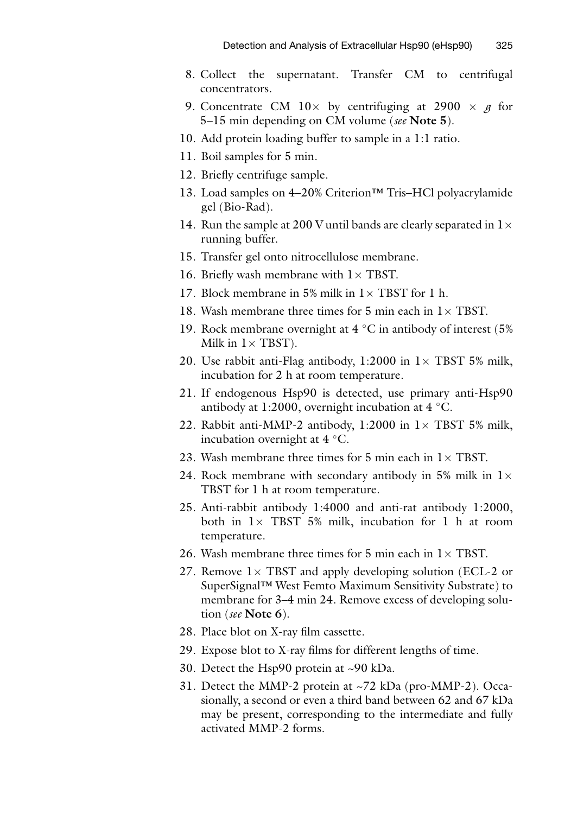- 8. Collect the supernatant. Transfer CM to centrifugal concentrators.
- 9. Concentrate CM 10 $\times$  by centrifuging at 2900  $\times$  g for 5–15 min depending on CM volume (see Note 5).
- 10. Add protein loading buffer to sample in a 1:1 ratio.
- 11. Boil samples for 5 min.
- 12. Briefly centrifuge sample.
- 13. Load samples on 4–20% Criterion™ Tris–HCl polyacrylamide gel (Bio-Rad).
- 14. Run the sample at 200 V until bands are clearly separated in  $1 \times$ running buffer.
- 15. Transfer gel onto nitrocellulose membrane.
- 16. Briefly wash membrane with  $1 \times$  TBST.
- 17. Block membrane in 5% milk in  $1 \times$  TBST for 1 h.
- 18. Wash membrane three times for 5 min each in  $1 \times$  TBST.
- 19. Rock membrane overnight at  $4^{\circ}$ C in antibody of interest (5%) Milk in  $1 \times TBST$ ).
- 20. Use rabbit anti-Flag antibody, 1:2000 in  $1 \times$  TBST 5% milk, incubation for 2 h at room temperature.
- 21. If endogenous Hsp90 is detected, use primary anti-Hsp90 antibody at 1:2000, overnight incubation at  $4^{\circ}$ C.
- 22. Rabbit anti-MMP-2 antibody, 1:2000 in  $1 \times$  TBST 5% milk, incubation overnight at  $4^{\circ}$ C.
- 23. Wash membrane three times for 5 min each in  $1 \times$  TBST.
- 24. Rock membrane with secondary antibody in 5% milk in  $1 \times$ TBST for 1 h at room temperature.
- 25. Anti-rabbit antibody 1:4000 and anti-rat antibody 1:2000, both in  $1 \times$  TBST 5% milk, incubation for 1 h at room temperature.
- 26. Wash membrane three times for 5 min each in  $1 \times \text{TBST}$ .
- 27. Remove  $1 \times$  TBST and apply developing solution (ECL-2 or SuperSignal™ West Femto Maximum Sensitivity Substrate) to membrane for 3–4 min 24. Remove excess of developing solution (see Note  $6$ ).
- 28. Place blot on X-ray film cassette.
- 29. Expose blot to X-ray films for different lengths of time.
- 30. Detect the Hsp90 protein at ~90 kDa.
- 31. Detect the MMP-2 protein at ~72 kDa (pro-MMP-2). Occasionally, a second or even a third band between 62 and 67 kDa may be present, corresponding to the intermediate and fully activated MMP-2 forms.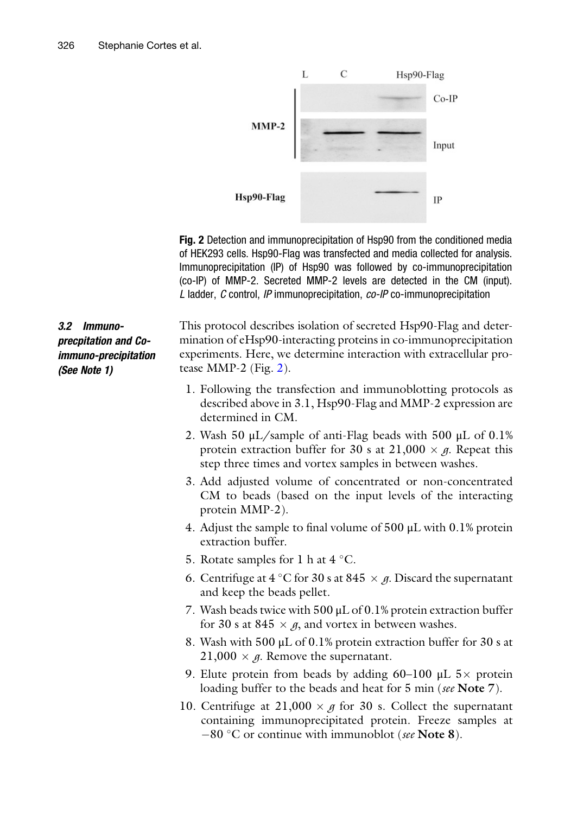

Fig. 2 Detection and immunoprecipitation of Hsp90 from the conditioned media of HEK293 cells. Hsp90-Flag was transfected and media collected for analysis. Immunoprecipitation (IP) of Hsp90 was followed by co-immunoprecipitation (co-IP) of MMP-2. Secreted MMP-2 levels are detected in the CM (input). L ladder, C control, IP immunoprecipitation, co-IP co-immunoprecipitation

3.2 Immunoprecpitation and Coimmuno-precipitation (See Note 1)

This protocol describes isolation of secreted Hsp90-Flag and determination of eHsp90-interacting proteins in co-immunoprecipitation experiments. Here, we determine interaction with extracellular protease MMP-2 (Fig. 2).

- 1. Following the transfection and immunoblotting protocols as described above in 3.1, Hsp90-Flag and MMP-2 expression are determined in CM.
- 2. Wash 50 μL/sample of anti-Flag beads with 500 μL of 0.1% protein extraction buffer for 30 s at 21,000  $\times$  g. Repeat this step three times and vortex samples in between washes.
- 3. Add adjusted volume of concentrated or non-concentrated CM to beads (based on the input levels of the interacting protein MMP-2).
- 4. Adjust the sample to final volume of 500 μL with 0.1% protein extraction buffer.
- 5. Rotate samples for 1 h at  $4^{\circ}$ C.
- 6. Centrifuge at 4 °C for 30 s at 845  $\times$  g. Discard the supernatant and keep the beads pellet.
- 7. Wash beads twice with 500 μL of 0.1% protein extraction buffer for 30 s at 845  $\times$  g, and vortex in between washes.
- 8. Wash with 500 μL of 0.1% protein extraction buffer for 30 s at 21,000  $\times$  g. Remove the supernatant.
- 9. Elute protein from beads by adding 60–100  $\mu$ L 5 $\times$  protein loading buffer to the beads and heat for 5 min (see Note 7).
- 10. Centrifuge at 21,000  $\times$  g for 30 s. Collect the supernatant containing immunoprecipitated protein. Freeze samples at  $-80$  °C or continue with immunoblot (see Note 8).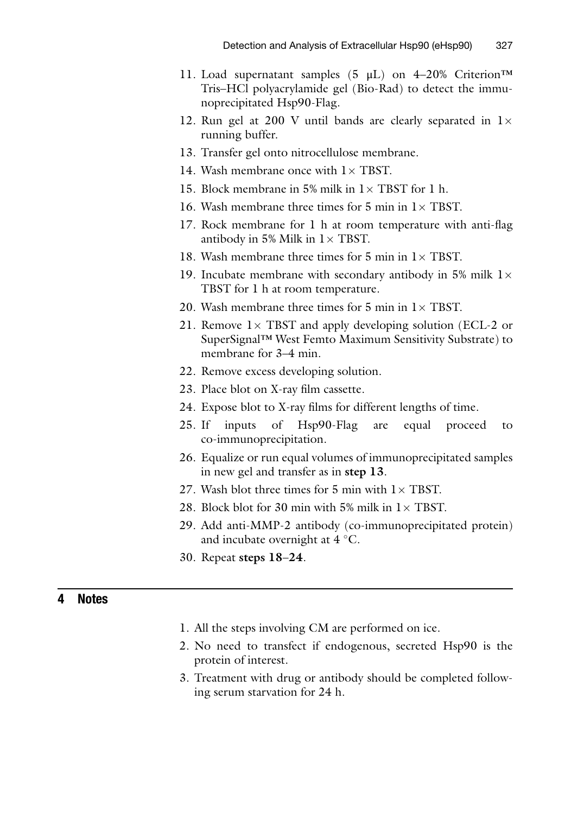- 11. Load supernatant samples (5  $\mu$ L) on 4–20% Criterion<sup>TM</sup> Tris–HCl polyacrylamide gel (Bio-Rad) to detect the immunoprecipitated Hsp90-Flag.
- 12. Run gel at 200 V until bands are clearly separated in  $1 \times$ running buffer.
- 13. Transfer gel onto nitrocellulose membrane.
- 14. Wash membrane once with  $1 \times$  TBST.
- 15. Block membrane in 5% milk in  $1 \times$  TBST for 1 h.
- 16. Wash membrane three times for 5 min in  $1 \times$  TBST.
- 17. Rock membrane for 1 h at room temperature with anti-flag antibody in 5% Milk in  $1 \times TBST$ .
- 18. Wash membrane three times for 5 min in  $1 \times$  TBST.
- 19. Incubate membrane with secondary antibody in 5% milk  $1 \times$ TBST for 1 h at room temperature.
- 20. Wash membrane three times for 5 min in  $1 \times$  TBST.
- 21. Remove  $1 \times$  TBST and apply developing solution (ECL-2 or SuperSignal™ West Femto Maximum Sensitivity Substrate) to membrane for 3–4 min.
- 22. Remove excess developing solution.
- 23. Place blot on X-ray film cassette.
- 24. Expose blot to X-ray films for different lengths of time.
- 25. If inputs of Hsp90-Flag are equal proceed to co-immunoprecipitation.
- 26. Equalize or run equal volumes of immunoprecipitated samples in new gel and transfer as in step 13.
- 27. Wash blot three times for 5 min with  $1 \times$  TBST.
- 28. Block blot for 30 min with 5% milk in  $1 \times$  TBST.
- 29. Add anti-MMP-2 antibody (co-immunoprecipitated protein) and incubate overnight at  $4^{\circ}$ C.
- 30. Repeat steps 18–24.

#### 4 Notes

- 1. All the steps involving CM are performed on ice.
- 2. No need to transfect if endogenous, secreted Hsp90 is the protein of interest.
- 3. Treatment with drug or antibody should be completed following serum starvation for 24 h.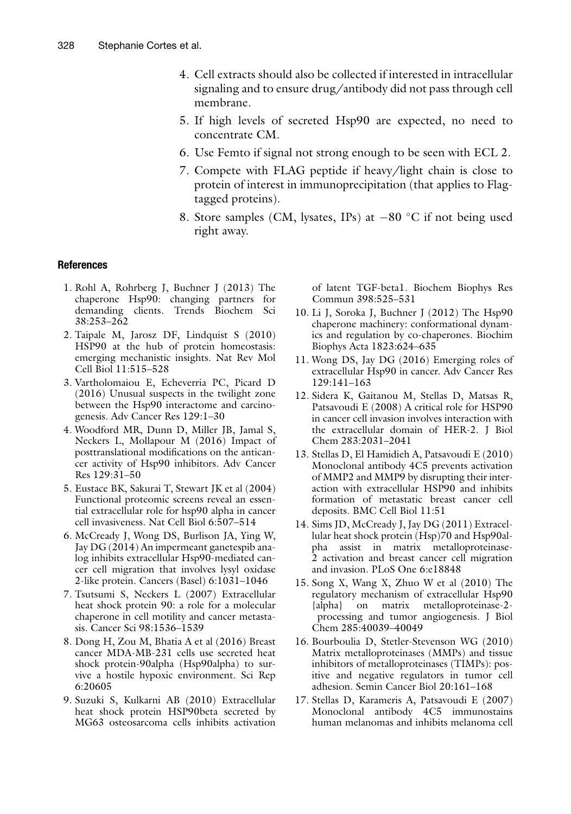- <span id="page-7-0"></span>4. Cell extracts should also be collected if interested in intracellular signaling and to ensure drug/antibody did not pass through cell membrane.
- 5. If high levels of secreted Hsp90 are expected, no need to concentrate CM.
- 6. Use Femto if signal not strong enough to be seen with ECL 2.
- 7. Compete with FLAG peptide if heavy/light chain is close to protein of interest in immunoprecipitation (that applies to Flagtagged proteins).
- 8. Store samples (CM, lysates, IPs) at  $-80$  °C if not being used right away.

#### References

- 1. Rohl A, Rohrberg J, Buchner J (2013) The chaperone Hsp90: changing partners for demanding clients. Trends Biochem Sci 38:253–262
- 2. Taipale M, Jarosz DF, Lindquist S (2010) HSP90 at the hub of protein homeostasis: emerging mechanistic insights. Nat Rev Mol Cell Biol 11:515–528
- 3. Vartholomaiou E, Echeverria PC, Picard D (2016) Unusual suspects in the twilight zone between the Hsp90 interactome and carcinogenesis. Adv Cancer Res 129:1–30
- 4. Woodford MR, Dunn D, Miller JB, Jamal S, Neckers L, Mollapour M (2016) Impact of posttranslational modifications on the anticancer activity of Hsp90 inhibitors. Adv Cancer Res 129:31–50
- 5. Eustace BK, Sakurai T, Stewart JK et al (2004) Functional proteomic screens reveal an essential extracellular role for hsp90 alpha in cancer cell invasiveness. Nat Cell Biol 6:507–514
- 6. McCready J, Wong DS, Burlison JA, Ying W, Jay DG (2014) An impermeant ganetespib analog inhibits extracellular Hsp90-mediated cancer cell migration that involves lysyl oxidase 2-like protein. Cancers (Basel) 6:1031–1046
- 7. Tsutsumi S, Neckers L (2007) Extracellular heat shock protein 90: a role for a molecular chaperone in cell motility and cancer metastasis. Cancer Sci 98:1536–1539
- 8. Dong H, Zou M, Bhatia A et al (2016) Breast cancer MDA-MB-231 cells use secreted heat shock protein-90alpha (Hsp90alpha) to survive a hostile hypoxic environment. Sci Rep 6:20605
- 9. Suzuki S, Kulkarni AB (2010) Extracellular heat shock protein HSP90beta secreted by MG63 osteosarcoma cells inhibits activation

of latent TGF-beta1. Biochem Biophys Res Commun 398:525–531

- 10. Li J, Soroka J, Buchner J (2012) The Hsp90 chaperone machinery: conformational dynamics and regulation by co-chaperones. Biochim Biophys Acta 1823:624–635
- 11. Wong DS, Jay DG (2016) Emerging roles of extracellular Hsp90 in cancer. Adv Cancer Res 129:141–163
- 12. Sidera K, Gaitanou M, Stellas D, Matsas R, Patsavoudi E (2008) A critical role for HSP90 in cancer cell invasion involves interaction with the extracellular domain of HER-2. J Biol Chem 283:2031–2041
- 13. Stellas D, El Hamidieh A, Patsavoudi E (2010) Monoclonal antibody 4C5 prevents activation of MMP2 and MMP9 by disrupting their interaction with extracellular HSP90 and inhibits formation of metastatic breast cancer cell deposits. BMC Cell Biol 11:51
- 14. Sims JD, McCready J, Jay DG (2011) Extracellular heat shock protein (Hsp)70 and Hsp90alpha assist in matrix metalloproteinase-2 activation and breast cancer cell migration and invasion. PLoS One 6:e18848
- 15. Song X, Wang X, Zhuo W et al (2010) The regulatory mechanism of extracellular Hsp90 {alpha} on matrix metalloproteinase-2 processing and tumor angiogenesis. J Biol Chem 285:40039–40049
- 16. Bourboulia D, Stetler-Stevenson WG (2010) Matrix metalloproteinases (MMPs) and tissue inhibitors of metalloproteinases (TIMPs): positive and negative regulators in tumor cell adhesion. Semin Cancer Biol 20:161–168
- 17. Stellas D, Karameris A, Patsavoudi E (2007) Monoclonal antibody 4C5 immunostains human melanomas and inhibits melanoma cell